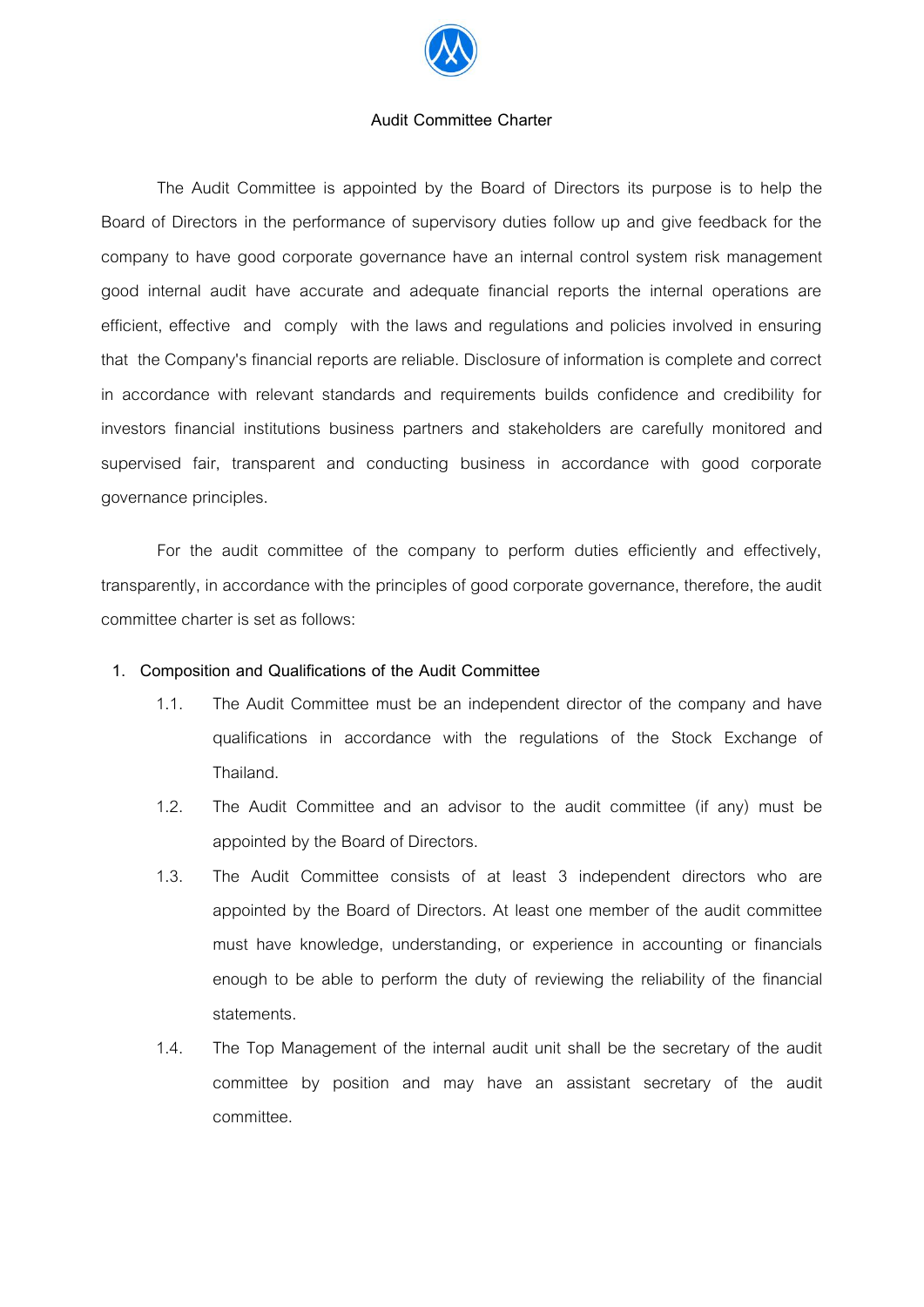

#### **Audit Committee Charter**

The Audit Committee is appointed by the Board of Directors its purpose is to help the Board of Directors in the performance of supervisory duties follow up and give feedback for the company to have good corporate governance have an internal control system risk management good internal audit have accurate and adequate financial reports the internal operations are efficient, effective and comply with the laws and regulations and policies involved in ensuring that the Company's financial reports are reliable. Disclosure of information is complete and correct in accordance with relevant standards and requirements builds confidence and credibility for investors financial institutions business partners and stakeholders are carefully monitored and supervised fair, transparent and conducting business in accordance with good corporate governance principles.

For the audit committee of the company to perform duties efficiently and effectively, transparently, in accordance with the principles of good corporate governance, therefore, the audit committee charter is set as follows:

### **1. Composition and Qualifications of the Audit Committee**

- 1.1. The Audit Committee must be an independent director of the company and have qualifications in accordance with the regulations of the Stock Exchange of Thailand.
- 1.2. The Audit Committee and an advisor to the audit committee (if any) must be appointed by the Board of Directors.
- 1.3. The Audit Committee consists of at least 3 independent directors who are appointed by the Board of Directors. At least one member of the audit committee must have knowledge, understanding, or experience in accounting or financials enough to be able to perform the duty of reviewing the reliability of the financial statements.
- 1.4. The Top Management of the internal audit unit shall be the secretary of the audit committee by position and may have an assistant secretary of the audit committee.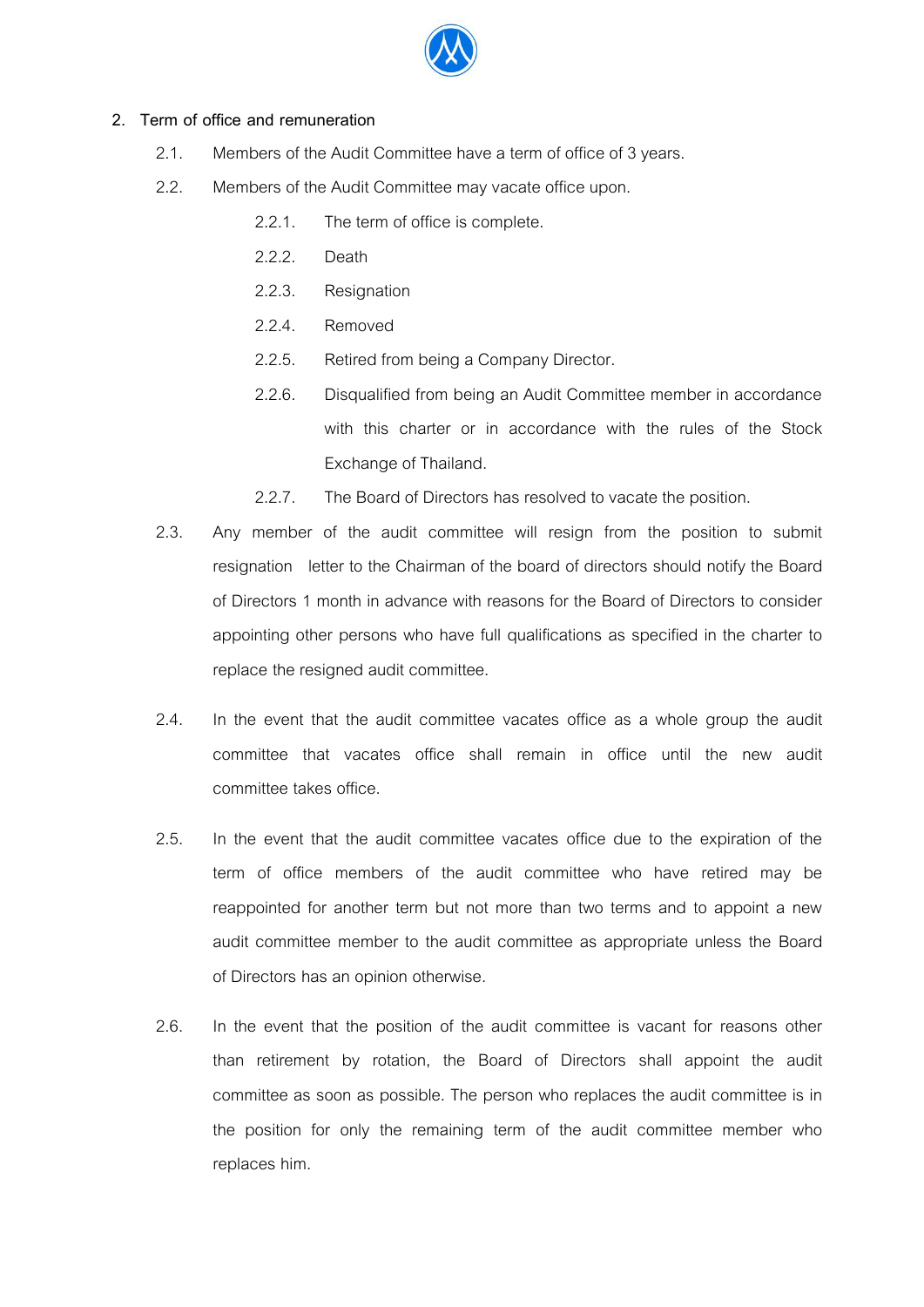

# **2. Term of office and remuneration**

- 2.1. Members of the Audit Committee have a term of office of 3 years.
- 2.2. Members of the Audit Committee may vacate office upon.
	- 2.2.1. The term of office is complete.
	- 2.2.2. Death
	- 2.2.3. Resignation
	- 2.2.4. Removed
	- 2.2.5. Retired from being a Company Director.
	- 2.2.6. Disqualified from being an Audit Committee member in accordance with this charter or in accordance with the rules of the Stock Exchange of Thailand.
	- 2.2.7. The Board of Directors has resolved to vacate the position.
- 2.3. Any member of the audit committee will resign from the position to submit resignation letter to the Chairman of the board of directors should notify the Board of Directors 1 month in advance with reasons for the Board of Directors to consider appointing other persons who have full qualifications as specified in the charter to replace the resigned audit committee.
- 2.4. In the event that the audit committee vacates office as a whole group the audit committee that vacates office shall remain in office until the new audit committee takes office.
- 2.5. In the event that the audit committee vacates office due to the expiration of the term of office members of the audit committee who have retired may be reappointed for another term but not more than two terms and to appoint a new audit committee member to the audit committee as appropriate unless the Board of Directors has an opinion otherwise.
- 2.6. In the event that the position of the audit committee is vacant for reasons other than retirement by rotation, the Board of Directors shall appoint the audit committee as soon as possible. The person who replaces the audit committee is in the position for only the remaining term of the audit committee member who replaces him.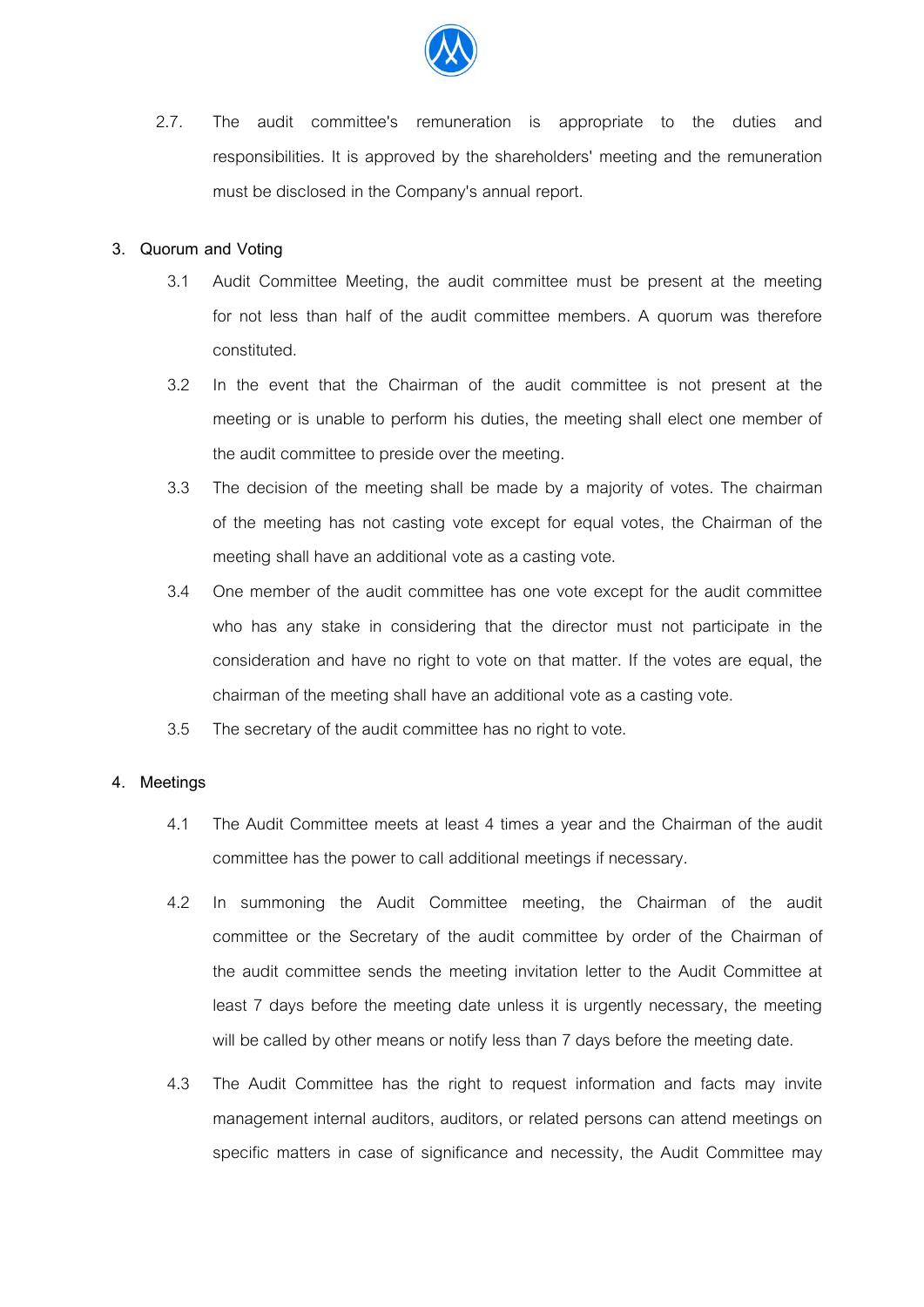

2.7. The audit committee's remuneration is appropriate to the duties and responsibilities. It is approved by the shareholders' meeting and the remuneration must be disclosed in the Company's annual report.

## **3. Quorum and Voting**

- 3.1 Audit Committee Meeting, the audit committee must be present at the meeting for not less than half of the audit committee members. A quorum was therefore constituted.
- 3.2 In the event that the Chairman of the audit committee is not present at the meeting or is unable to perform his duties, the meeting shall elect one member of the audit committee to preside over the meeting.
- 3.3 The decision of the meeting shall be made by a majority of votes. The chairman of the meeting has not casting vote except for equal votes, the Chairman of the meeting shall have an additional vote as a casting vote.
- 3.4 One member of the audit committee has one vote except for the audit committee who has any stake in considering that the director must not participate in the consideration and have no right to vote on that matter. If the votes are equal, the chairman of the meeting shall have an additional vote as a casting vote.
- 3.5 The secretary of the audit committee has no right to vote.

### **4. Meetings**

- 4.1 The Audit Committee meets at least 4 times a year and the Chairman of the audit committee has the power to call additional meetings if necessary.
- 4.2 In summoning the Audit Committee meeting, the Chairman of the audit committee or the Secretary of the audit committee by order of the Chairman of the audit committee sends the meeting invitation letter to the Audit Committee at least 7 days before the meeting date unless it is urgently necessary, the meeting will be called by other means or notify less than 7 days before the meeting date.
- 4.3 The Audit Committee has the right to request information and facts may invite management internal auditors, auditors, or related persons can attend meetings on specific matters in case of significance and necessity, the Audit Committee may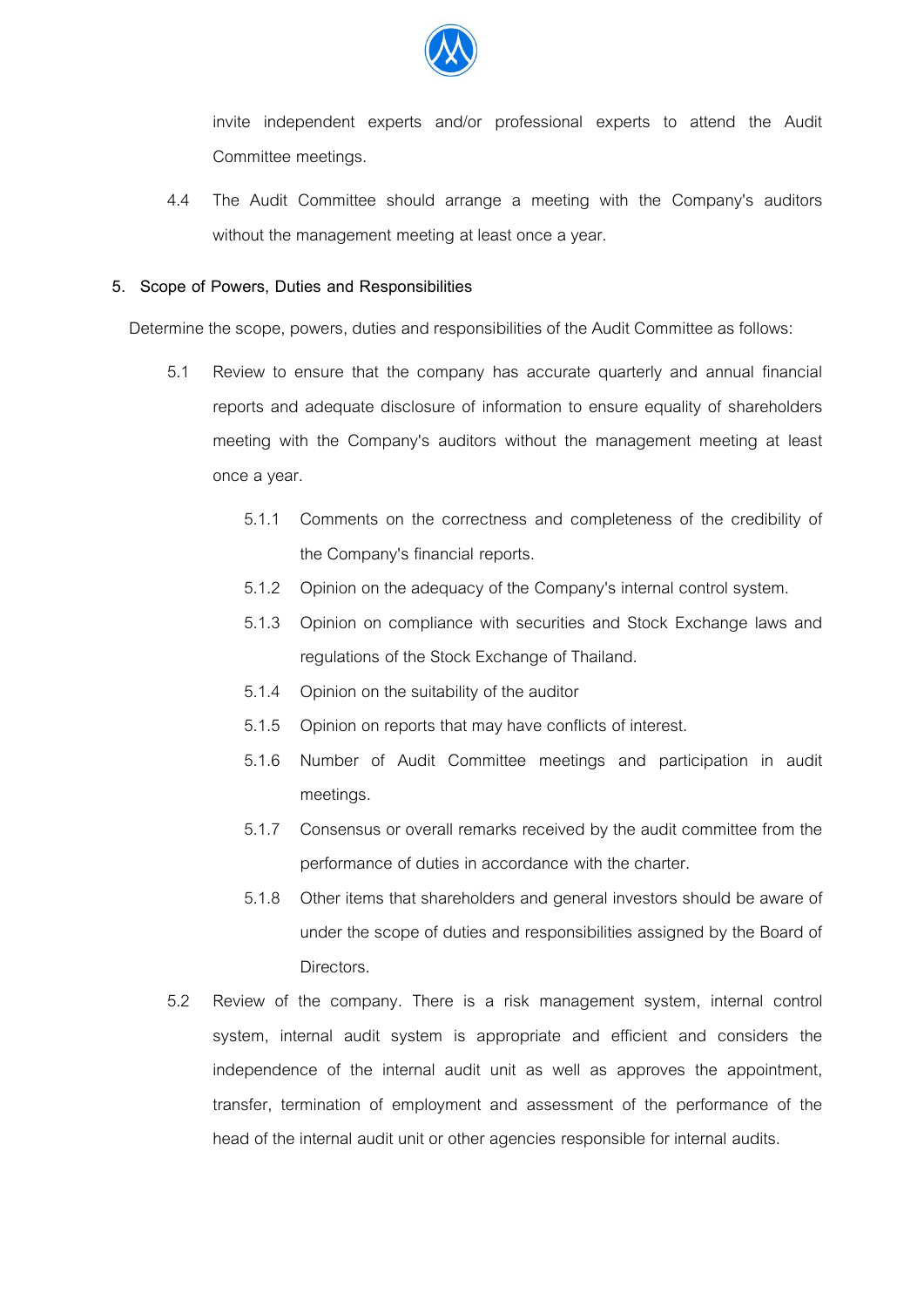

invite independent experts and/or professional experts to attend the Audit Committee meetings.

4.4 The Audit Committee should arrange a meeting with the Company's auditors without the management meeting at least once a year.

#### **5. Scope of Powers, Duties and Responsibilities**

Determine the scope, powers, duties and responsibilities of the Audit Committee as follows:

- 5.1 Review to ensure that the company has accurate quarterly and annual financial reports and adequate disclosure of information to ensure equality of shareholders meeting with the Company's auditors without the management meeting at least once a year.
	- 5.1.1 Comments on the correctness and completeness of the credibility of the Company's financial reports.
	- 5.1.2 Opinion on the adequacy of the Company's internal control system.
	- 5.1.3 Opinion on compliance with securities and Stock Exchange laws and regulations of the Stock Exchange of Thailand.
	- 5.1.4 Opinion on the suitability of the auditor
	- 5.1.5 Opinion on reports that may have conflicts of interest.
	- 5.1.6 Number of Audit Committee meetings and participation in audit meetings.
	- 5.1.7 Consensus or overall remarks received by the audit committee from the performance of duties in accordance with the charter.
	- 5.1.8 Other items that shareholders and general investors should be aware of under the scope of duties and responsibilities assigned by the Board of **Directors**
- 5.2 Review of the company. There is a risk management system, internal control system, internal audit system is appropriate and efficient and considers the independence of the internal audit unit as well as approves the appointment, transfer, termination of employment and assessment of the performance of the head of the internal audit unit or other agencies responsible for internal audits.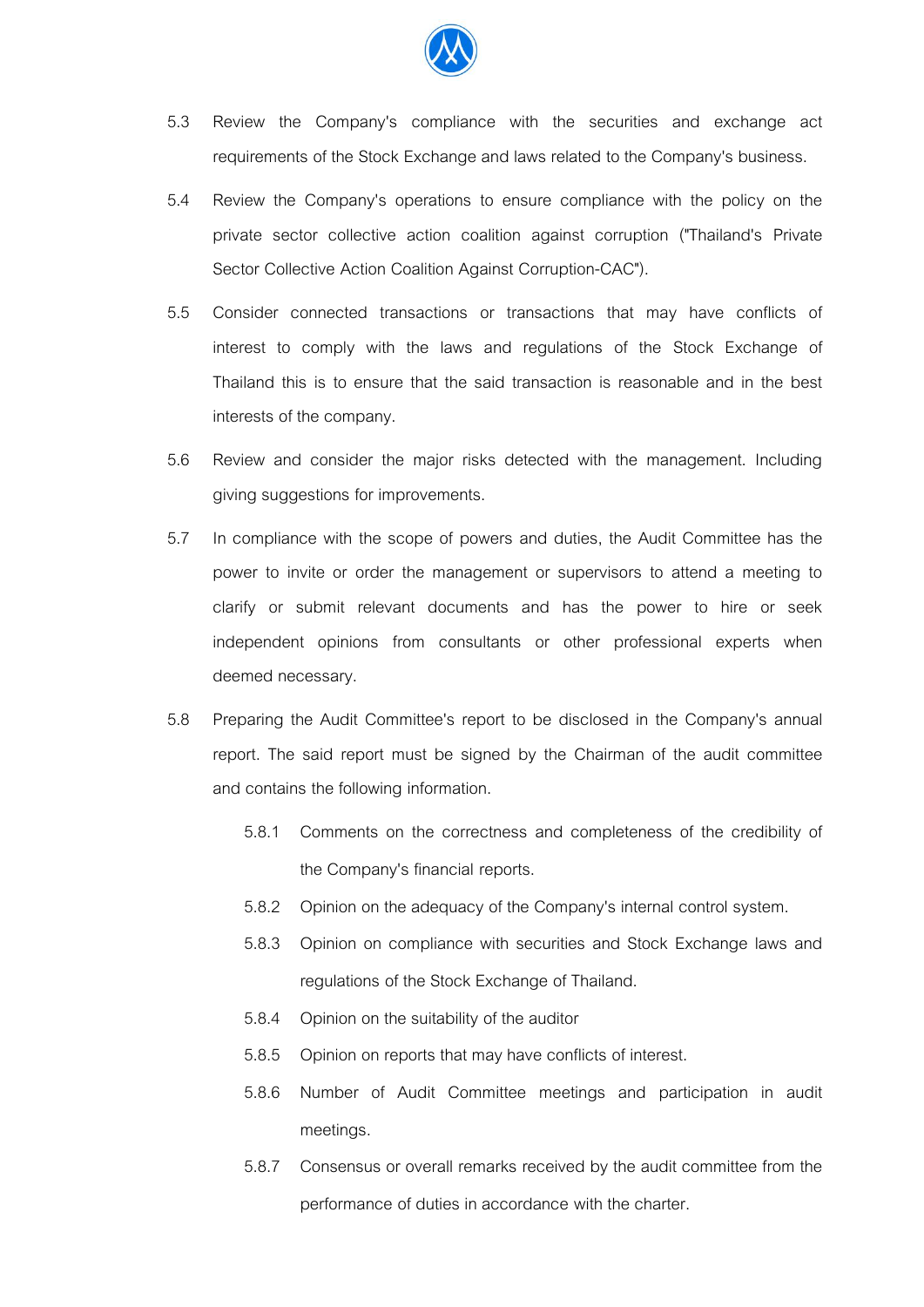

- 5.3 Review the Company's compliance with the securities and exchange act requirements of the Stock Exchange and laws related to the Company's business.
- 5.4 Review the Company's operations to ensure compliance with the policy on the private sector collective action coalition against corruption ("Thailand's Private Sector Collective Action Coalition Against Corruption-CAC").
- 5.5 Consider connected transactions or transactions that may have conflicts of interest to comply with the laws and regulations of the Stock Exchange of Thailand this is to ensure that the said transaction is reasonable and in the best interests of the company.
- 5.6 Review and consider the major risks detected with the management. Including giving suggestions for improvements.
- 5.7 In compliance with the scope of powers and duties, the Audit Committee has the power to invite or order the management or supervisors to attend a meeting to clarify or submit relevant documents and has the power to hire or seek independent opinions from consultants or other professional experts when deemed necessary.
- 5.8 Preparing the Audit Committee's report to be disclosed in the Company's annual report. The said report must be signed by the Chairman of the audit committee and contains the following information.
	- 5.8.1 Comments on the correctness and completeness of the credibility of the Company's financial reports.
	- 5.8.2 Opinion on the adequacy of the Company's internal control system.
	- 5.8.3 Opinion on compliance with securities and Stock Exchange laws and regulations of the Stock Exchange of Thailand.
	- 5.8.4 Opinion on the suitability of the auditor
	- 5.8.5 Opinion on reports that may have conflicts of interest.
	- 5.8.6 Number of Audit Committee meetings and participation in audit meetings.
	- 5.8.7 Consensus or overall remarks received by the audit committee from the performance of duties in accordance with the charter.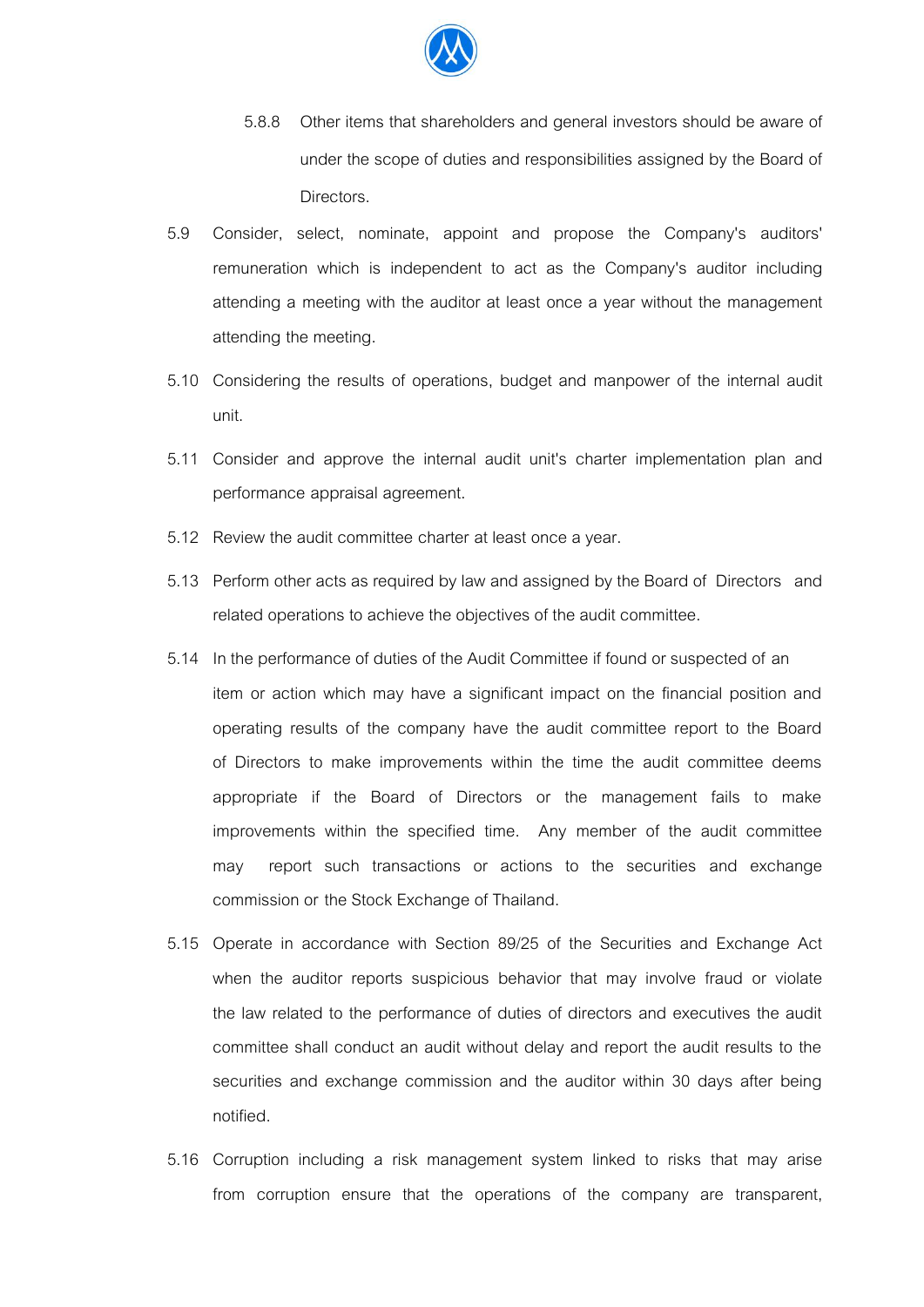

- 5.8.8 Other items that shareholders and general investors should be aware of under the scope of duties and responsibilities assigned by the Board of Directors.
- 5.9 Consider, select, nominate, appoint and propose the Company's auditors' remuneration which is independent to act as the Company's auditor including attending a meeting with the auditor at least once a year without the management attending the meeting.
- 5.10 Considering the results of operations, budget and manpower of the internal audit unit.
- 5.11 Consider and approve the internal audit unit's charter implementation plan and performance appraisal agreement.
- 5.12 Review the audit committee charter at least once a year.
- 5.13 Perform other acts as required by law and assigned by the Board of Directors and related operations to achieve the objectives of the audit committee.
- 5.14 In the performance of duties of the Audit Committee if found or suspected of an item or action which may have a significant impact on the financial position and operating results of the company have the audit committee report to the Board of Directors to make improvements within the time the audit committee deems appropriate if the Board of Directors or the management fails to make improvements within the specified time. Any member of the audit committee may report such transactions or actions to the securities and exchange commission or the Stock Exchange of Thailand.
- 5.15 Operate in accordance with Section 89/25 of the Securities and Exchange Act when the auditor reports suspicious behavior that may involve fraud or violate the law related to the performance of duties of directors and executives the audit committee shall conduct an audit without delay and report the audit results to the securities and exchange commission and the auditor within 30 days after being notified.
- 5.16 Corruption including a risk management system linked to risks that may arise from corruption ensure that the operations of the company are transparent,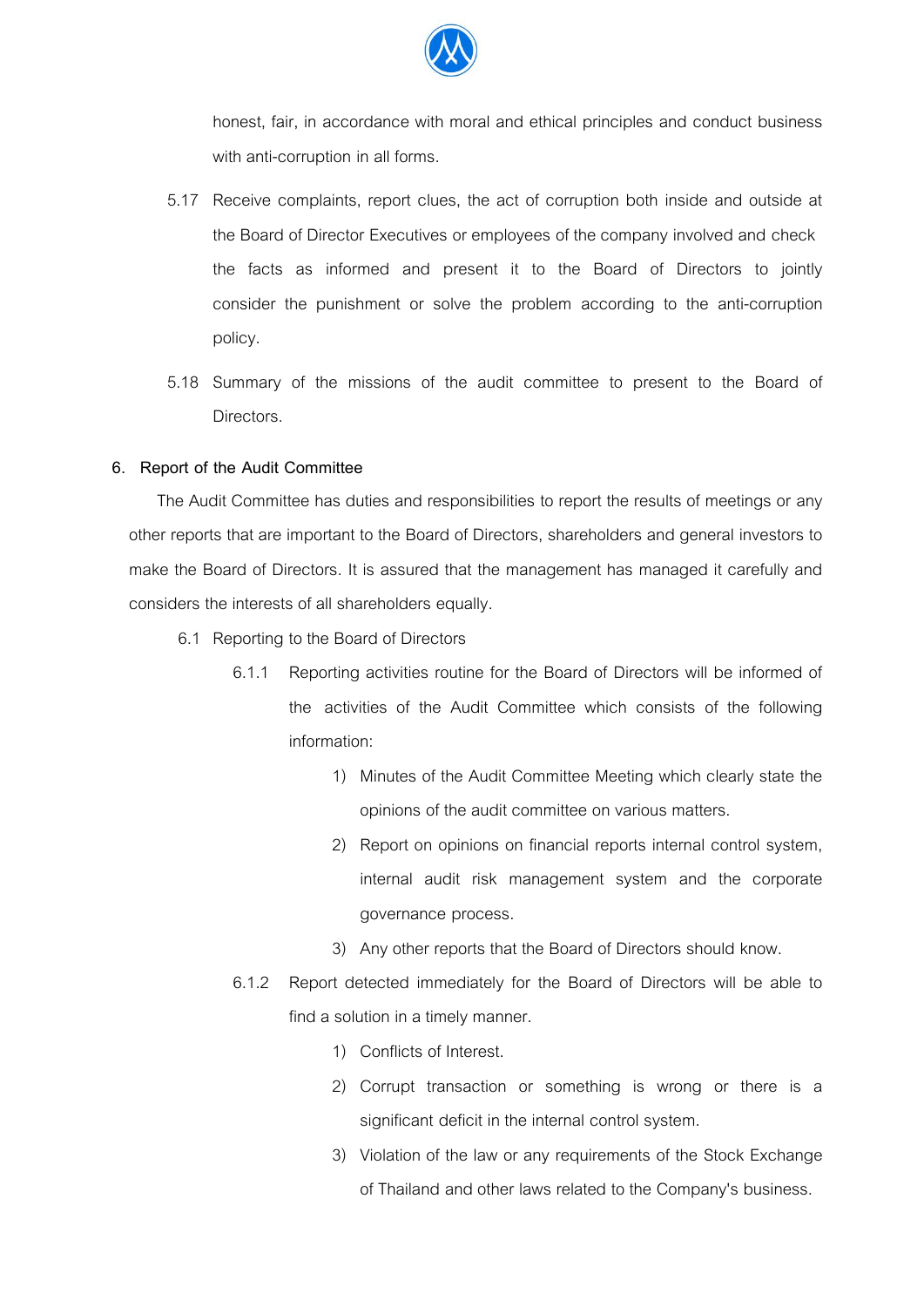

honest, fair, in accordance with moral and ethical principles and conduct business with anti-corruption in all forms.

- 5.17 Receive complaints, report clues, the act of corruption both inside and outside at the Board of Director Executives or employees of the company involved and check the facts as informed and present it to the Board of Directors to jointly consider the punishment or solve the problem according to the anti-corruption policy.
- 5.18 Summary of the missions of the audit committee to present to the Board of Directors.

## **6. Report of the Audit Committee**

The Audit Committee has duties and responsibilities to report the results of meetings or any other reports that are important to the Board of Directors, shareholders and general investors to make the Board of Directors. It is assured that the management has managed it carefully and considers the interests of all shareholders equally.

- 6.1 Reporting to the Board of Directors
	- 6.1.1 Reporting activities routine for the Board of Directors will be informed of the activities of the Audit Committee which consists of the following information:
		- 1) Minutes of the Audit Committee Meeting which clearly state the opinions of the audit committee on various matters.
		- 2) Report on opinions on financial reports internal control system, internal audit risk management system and the corporate governance process.
		- 3) Any other reports that the Board of Directors should know.
	- 6.1.2 Report detected immediately for the Board of Directors will be able to find a solution in a timely manner.
		- 1) Conflicts of Interest.
		- 2) Corrupt transaction or something is wrong or there is a significant deficit in the internal control system.
		- 3) Violation of the law or any requirements of the Stock Exchange of Thailand and other laws related to the Company's business.